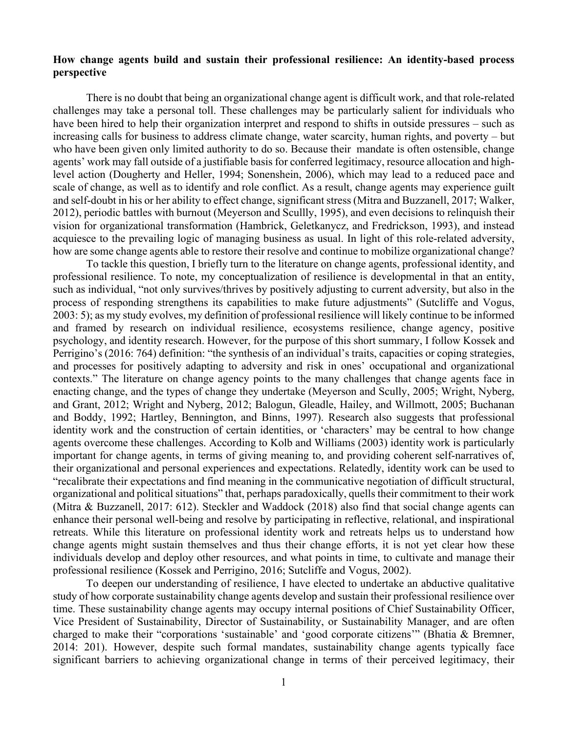## **How change agents build and sustain their professional resilience: An identity-based process perspective**

There is no doubt that being an organizational change agent is difficult work, and that role-related challenges may take a personal toll. These challenges may be particularly salient for individuals who have been hired to help their organization interpret and respond to shifts in outside pressures – such as increasing calls for business to address climate change, water scarcity, human rights, and poverty – but who have been given only limited authority to do so. Because their mandate is often ostensible, change agents' work may fall outside of a justifiable basis for conferred legitimacy, resource allocation and highlevel action (Dougherty and Heller, 1994; Sonenshein, 2006), which may lead to a reduced pace and scale of change, as well as to identify and role conflict. As a result, change agents may experience guilt and self-doubt in his or her ability to effect change, significant stress (Mitra and Buzzanell, 2017; Walker, 2012), periodic battles with burnout (Meyerson and Scullly, 1995), and even decisions to relinquish their vision for organizational transformation (Hambrick, Geletkanycz, and Fredrickson, 1993), and instead acquiesce to the prevailing logic of managing business as usual. In light of this role-related adversity, how are some change agents able to restore their resolve and continue to mobilize organizational change?

To tackle this question, I briefly turn to the literature on change agents, professional identity, and professional resilience. To note, my conceptualization of resilience is developmental in that an entity, such as individual, "not only survives/thrives by positively adjusting to current adversity, but also in the process of responding strengthens its capabilities to make future adjustments" (Sutcliffe and Vogus, 2003: 5); as my study evolves, my definition of professional resilience will likely continue to be informed and framed by research on individual resilience, ecosystems resilience, change agency, positive psychology, and identity research. However, for the purpose of this short summary, I follow Kossek and Perrigino's (2016: 764) definition: "the synthesis of an individual's traits, capacities or coping strategies, and processes for positively adapting to adversity and risk in ones' occupational and organizational contexts." The literature on change agency points to the many challenges that change agents face in enacting change, and the types of change they undertake (Meyerson and Scully, 2005; Wright, Nyberg, and Grant, 2012; Wright and Nyberg, 2012; Balogun, Gleadle, Hailey, and Willmott, 2005; Buchanan and Boddy, 1992; Hartley, Bennington, and Binns, 1997). Research also suggests that professional identity work and the construction of certain identities, or 'characters' may be central to how change agents overcome these challenges. According to Kolb and Williams (2003) identity work is particularly important for change agents, in terms of giving meaning to, and providing coherent self-narratives of, their organizational and personal experiences and expectations. Relatedly, identity work can be used to "recalibrate their expectations and find meaning in the communicative negotiation of difficult structural, organizational and political situations" that, perhaps paradoxically, quells their commitment to their work (Mitra & Buzzanell, 2017: 612). Steckler and Waddock (2018) also find that social change agents can enhance their personal well-being and resolve by participating in reflective, relational, and inspirational retreats. While this literature on professional identity work and retreats helps us to understand how change agents might sustain themselves and thus their change efforts, it is not yet clear how these individuals develop and deploy other resources, and what points in time, to cultivate and manage their professional resilience (Kossek and Perrigino, 2016; Sutcliffe and Vogus, 2002).

To deepen our understanding of resilience, I have elected to undertake an abductive qualitative study of how corporate sustainability change agents develop and sustain their professional resilience over time. These sustainability change agents may occupy internal positions of Chief Sustainability Officer, Vice President of Sustainability, Director of Sustainability, or Sustainability Manager, and are often charged to make their "corporations 'sustainable' and 'good corporate citizens'" (Bhatia & Bremner, 2014: 201). However, despite such formal mandates, sustainability change agents typically face significant barriers to achieving organizational change in terms of their perceived legitimacy, their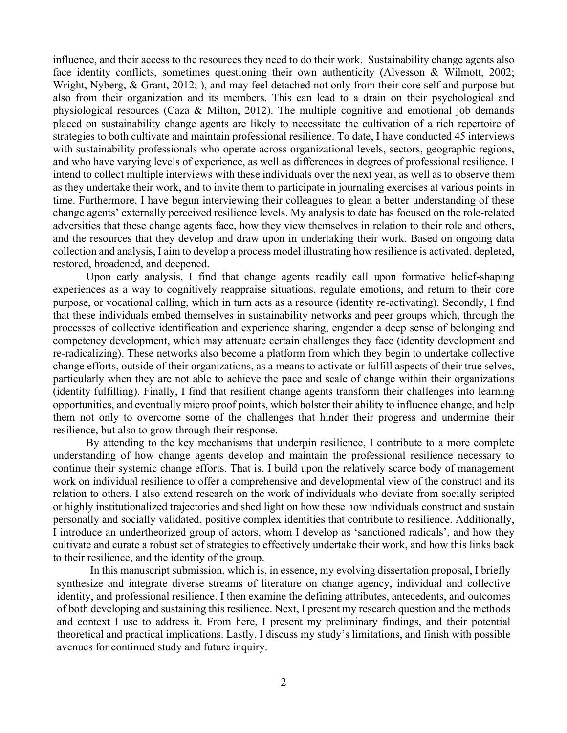influence, and their access to the resources they need to do their work. Sustainability change agents also face identity conflicts, sometimes questioning their own authenticity (Alvesson & Wilmott, 2002; Wright, Nyberg, & Grant, 2012; ), and may feel detached not only from their core self and purpose but also from their organization and its members. This can lead to a drain on their psychological and physiological resources (Caza & Milton, 2012). The multiple cognitive and emotional job demands placed on sustainability change agents are likely to necessitate the cultivation of a rich repertoire of strategies to both cultivate and maintain professional resilience. To date, I have conducted 45 interviews with sustainability professionals who operate across organizational levels, sectors, geographic regions, and who have varying levels of experience, as well as differences in degrees of professional resilience. I intend to collect multiple interviews with these individuals over the next year, as well as to observe them as they undertake their work, and to invite them to participate in journaling exercises at various points in time. Furthermore, I have begun interviewing their colleagues to glean a better understanding of these change agents' externally perceived resilience levels. My analysis to date has focused on the role-related adversities that these change agents face, how they view themselves in relation to their role and others, and the resources that they develop and draw upon in undertaking their work. Based on ongoing data collection and analysis, I aim to develop a process model illustrating how resilience is activated, depleted, restored, broadened, and deepened.

Upon early analysis, I find that change agents readily call upon formative belief-shaping experiences as a way to cognitively reappraise situations, regulate emotions, and return to their core purpose, or vocational calling, which in turn acts as a resource (identity re-activating). Secondly, I find that these individuals embed themselves in sustainability networks and peer groups which, through the processes of collective identification and experience sharing, engender a deep sense of belonging and competency development, which may attenuate certain challenges they face (identity development and re-radicalizing). These networks also become a platform from which they begin to undertake collective change efforts, outside of their organizations, as a means to activate or fulfill aspects of their true selves, particularly when they are not able to achieve the pace and scale of change within their organizations (identity fulfilling). Finally, I find that resilient change agents transform their challenges into learning opportunities, and eventually micro proof points, which bolster their ability to influence change, and help them not only to overcome some of the challenges that hinder their progress and undermine their resilience, but also to grow through their response.

By attending to the key mechanisms that underpin resilience, I contribute to a more complete understanding of how change agents develop and maintain the professional resilience necessary to continue their systemic change efforts. That is, I build upon the relatively scarce body of management work on individual resilience to offer a comprehensive and developmental view of the construct and its relation to others. I also extend research on the work of individuals who deviate from socially scripted or highly institutionalized trajectories and shed light on how these how individuals construct and sustain personally and socially validated, positive complex identities that contribute to resilience. Additionally, I introduce an undertheorized group of actors, whom I develop as 'sanctioned radicals', and how they cultivate and curate a robust set of strategies to effectively undertake their work, and how this links back to their resilience, and the identity of the group.

In this manuscript submission, which is, in essence, my evolving dissertation proposal, I briefly synthesize and integrate diverse streams of literature on change agency, individual and collective identity, and professional resilience. I then examine the defining attributes, antecedents, and outcomes of both developing and sustaining this resilience. Next, I present my research question and the methods and context I use to address it. From here, I present my preliminary findings, and their potential theoretical and practical implications. Lastly, I discuss my study's limitations, and finish with possible avenues for continued study and future inquiry.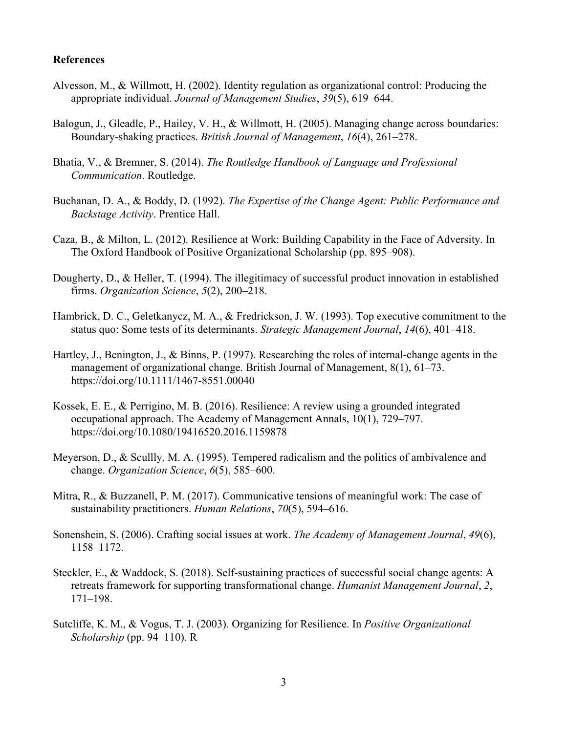## **References**

- Alvesson, M., & Willmott, H. (2002). Identity regulation as organizational control: Producing the appropriate individual. *Journal of Management Studies*, *39*(5), 619–644.
- Balogun, J., Gleadle, P., Hailey, V. H., & Willmott, H. (2005). Managing change across boundaries: Boundary-shaking practices. *British Journal of Management*, *16*(4), 261–278.
- Bhatia, V., & Bremner, S. (2014). *The Routledge Handbook of Language and Professional Communication*. Routledge.
- Buchanan, D. A., & Boddy, D. (1992). *The Expertise of the Change Agent: Public Performance and Backstage Activity*. Prentice Hall.
- Caza, B., & Milton, L. (2012). Resilience at Work: Building Capability in the Face of Adversity. In The Oxford Handbook of Positive Organizational Scholarship (pp. 895–908).
- Dougherty, D., & Heller, T. (1994). The illegitimacy of successful product innovation in established firms. *Organization Science*, *5*(2), 200–218.
- Hambrick, D. C., Geletkanycz, M. A., & Fredrickson, J. W. (1993). Top executive commitment to the status quo: Some tests of its determinants. *Strategic Management Journal*, *14*(6), 401–418.
- Hartley, J., Benington, J., & Binns, P. (1997). Researching the roles of internal-change agents in the management of organizational change. British Journal of Management, 8(1), 61–73. https://doi.org/10.1111/1467-8551.00040
- Kossek, E. E., & Perrigino, M. B. (2016). Resilience: A review using a grounded integrated occupational approach. The Academy of Management Annals, 10(1), 729–797. https://doi.org/10.1080/19416520.2016.1159878
- Meyerson, D., & Scullly, M. A. (1995). Tempered radicalism and the politics of ambivalence and change. *Organization Science*, *6*(5), 585–600.
- Mitra, R., & Buzzanell, P. M. (2017). Communicative tensions of meaningful work: The case of sustainability practitioners. *Human Relations*, *70*(5), 594–616.
- Sonenshein, S. (2006). Crafting social issues at work. *The Academy of Management Journal*, *49*(6), 1158–1172.
- Steckler, E., & Waddock, S. (2018). Self-sustaining practices of successful social change agents: A retreats framework for supporting transformational change. *Humanist Management Journal*, *2*, 171–198.
- Sutcliffe, K. M., & Vogus, T. J. (2003). Organizing for Resilience. In *Positive Organizational Scholarship* (pp. 94–110). R